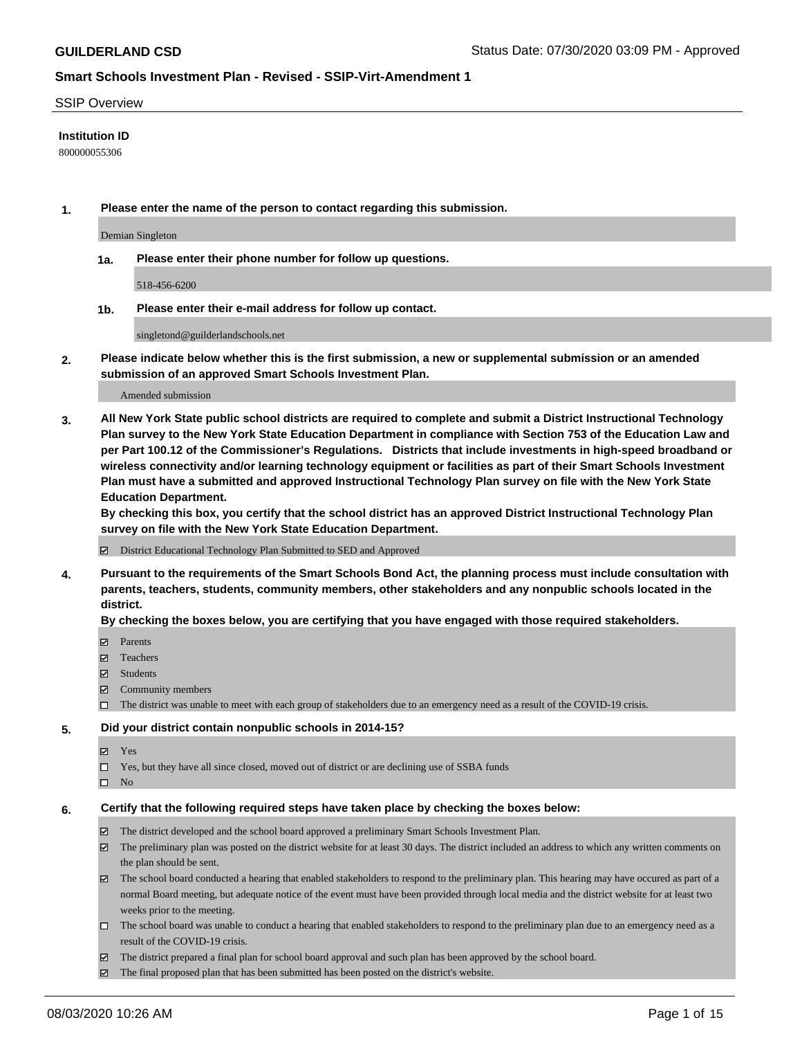#### SSIP Overview

### **Institution ID**

800000055306

**1. Please enter the name of the person to contact regarding this submission.**

Demian Singleton

**1a. Please enter their phone number for follow up questions.**

518-456-6200

**1b. Please enter their e-mail address for follow up contact.**

singletond@guilderlandschools.net

**2. Please indicate below whether this is the first submission, a new or supplemental submission or an amended submission of an approved Smart Schools Investment Plan.**

#### Amended submission

**3. All New York State public school districts are required to complete and submit a District Instructional Technology Plan survey to the New York State Education Department in compliance with Section 753 of the Education Law and per Part 100.12 of the Commissioner's Regulations. Districts that include investments in high-speed broadband or wireless connectivity and/or learning technology equipment or facilities as part of their Smart Schools Investment Plan must have a submitted and approved Instructional Technology Plan survey on file with the New York State Education Department.** 

**By checking this box, you certify that the school district has an approved District Instructional Technology Plan survey on file with the New York State Education Department.**

District Educational Technology Plan Submitted to SED and Approved

**4. Pursuant to the requirements of the Smart Schools Bond Act, the planning process must include consultation with parents, teachers, students, community members, other stakeholders and any nonpublic schools located in the district.** 

#### **By checking the boxes below, you are certifying that you have engaged with those required stakeholders.**

- **Ø** Parents
- Teachers
- Students
- $\boxtimes$  Community members
- The district was unable to meet with each group of stakeholders due to an emergency need as a result of the COVID-19 crisis.

#### **5. Did your district contain nonpublic schools in 2014-15?**

- **冈** Yes
- Yes, but they have all since closed, moved out of district or are declining use of SSBA funds
- $\square$  No

#### **6. Certify that the following required steps have taken place by checking the boxes below:**

- The district developed and the school board approved a preliminary Smart Schools Investment Plan.
- $\boxtimes$  The preliminary plan was posted on the district website for at least 30 days. The district included an address to which any written comments on the plan should be sent.
- $\boxtimes$  The school board conducted a hearing that enabled stakeholders to respond to the preliminary plan. This hearing may have occured as part of a normal Board meeting, but adequate notice of the event must have been provided through local media and the district website for at least two weeks prior to the meeting.
- The school board was unable to conduct a hearing that enabled stakeholders to respond to the preliminary plan due to an emergency need as a result of the COVID-19 crisis.
- The district prepared a final plan for school board approval and such plan has been approved by the school board.
- $\boxtimes$  The final proposed plan that has been submitted has been posted on the district's website.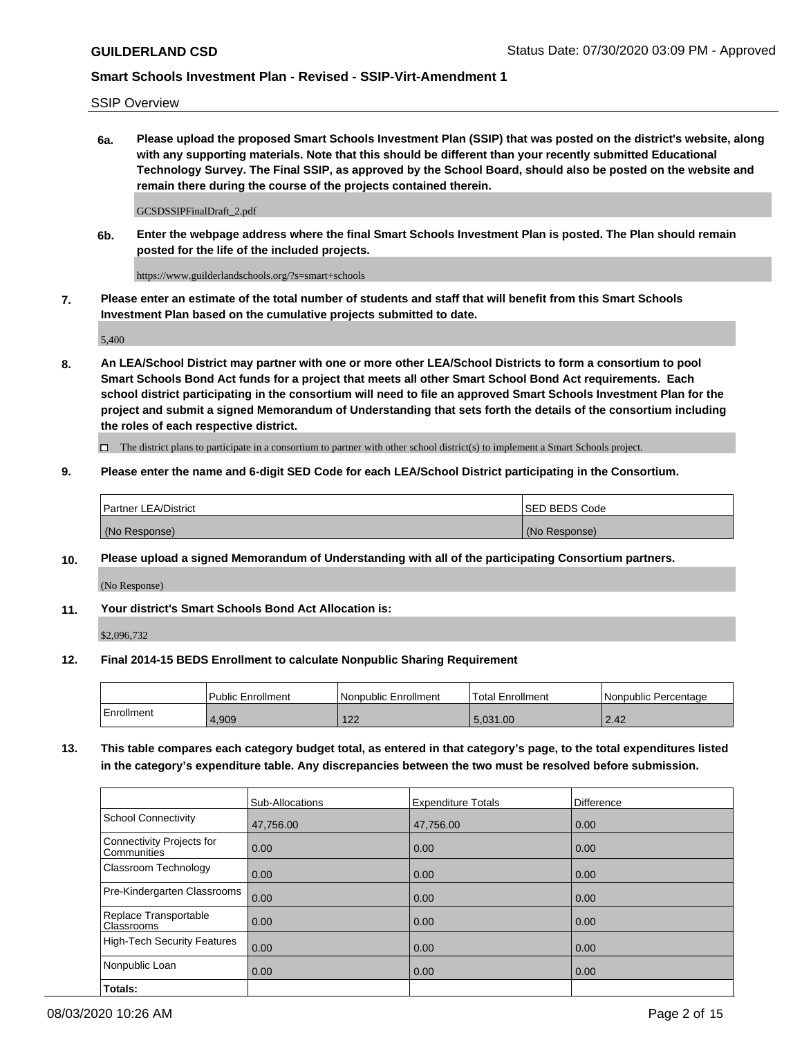SSIP Overview

**6a. Please upload the proposed Smart Schools Investment Plan (SSIP) that was posted on the district's website, along with any supporting materials. Note that this should be different than your recently submitted Educational Technology Survey. The Final SSIP, as approved by the School Board, should also be posted on the website and remain there during the course of the projects contained therein.**

GCSDSSIPFinalDraft\_2.pdf

**6b. Enter the webpage address where the final Smart Schools Investment Plan is posted. The Plan should remain posted for the life of the included projects.**

https://www.guilderlandschools.org/?s=smart+schools

**7. Please enter an estimate of the total number of students and staff that will benefit from this Smart Schools Investment Plan based on the cumulative projects submitted to date.**

5,400

**8. An LEA/School District may partner with one or more other LEA/School Districts to form a consortium to pool Smart Schools Bond Act funds for a project that meets all other Smart School Bond Act requirements. Each school district participating in the consortium will need to file an approved Smart Schools Investment Plan for the project and submit a signed Memorandum of Understanding that sets forth the details of the consortium including the roles of each respective district.**

 $\Box$  The district plans to participate in a consortium to partner with other school district(s) to implement a Smart Schools project.

### **9. Please enter the name and 6-digit SED Code for each LEA/School District participating in the Consortium.**

| <b>Partner LEA/District</b> | ISED BEDS Code |
|-----------------------------|----------------|
| (No Response)               | (No Response)  |

#### **10. Please upload a signed Memorandum of Understanding with all of the participating Consortium partners.**

(No Response)

**11. Your district's Smart Schools Bond Act Allocation is:**

\$2,096,732

#### **12. Final 2014-15 BEDS Enrollment to calculate Nonpublic Sharing Requirement**

|            | Public Enrollment | Nonpublic Enrollment | Total Enrollment | Nonpublic Percentage |
|------------|-------------------|----------------------|------------------|----------------------|
| Enrollment | .909              | 122<br>LL            | 5.031.00         | 2.42                 |

**13. This table compares each category budget total, as entered in that category's page, to the total expenditures listed in the category's expenditure table. Any discrepancies between the two must be resolved before submission.**

|                                          | Sub-Allocations | <b>Expenditure Totals</b> | <b>Difference</b> |
|------------------------------------------|-----------------|---------------------------|-------------------|
| <b>School Connectivity</b>               | 47,756.00       | 47,756.00                 | 0.00              |
| Connectivity Projects for<br>Communities | 0.00            | 0.00                      | 0.00              |
| Classroom Technology                     | 0.00            | 0.00                      | 0.00              |
| Pre-Kindergarten Classrooms              | 0.00            | 0.00                      | 0.00              |
| Replace Transportable<br>Classrooms      | 0.00            | 0.00                      | 0.00              |
| High-Tech Security Features              | 0.00            | 0.00                      | 0.00              |
| Nonpublic Loan                           | 0.00            | 0.00                      | 0.00              |
| Totals:                                  |                 |                           |                   |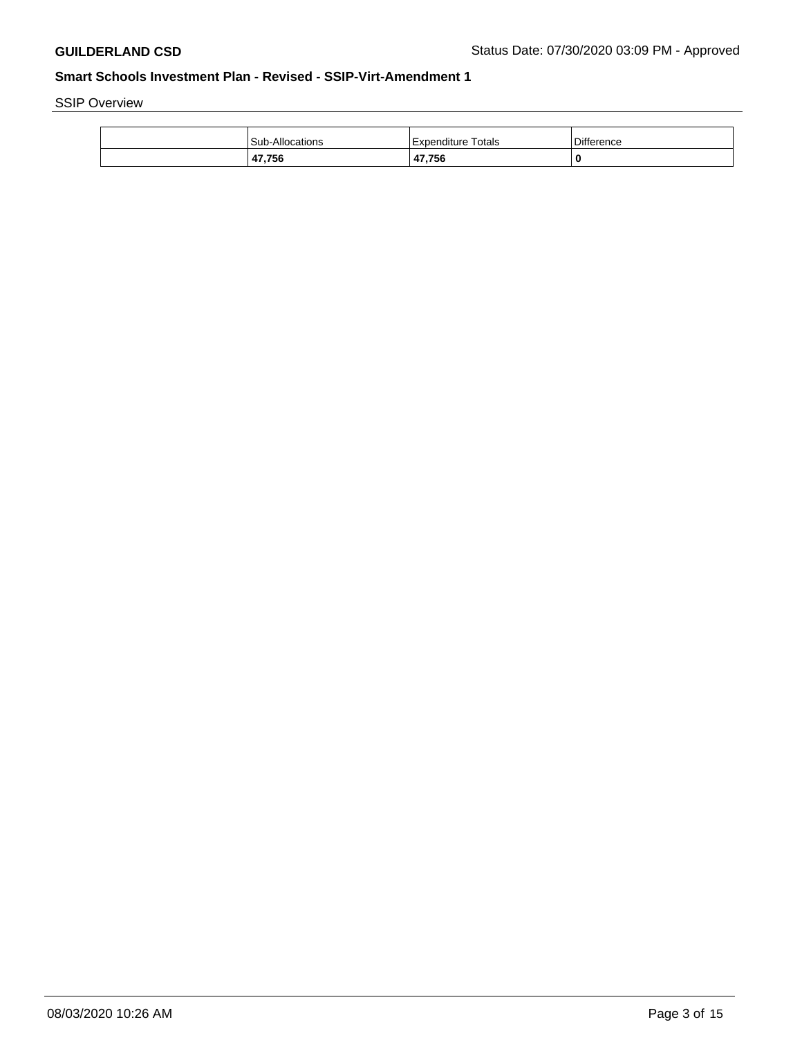SSIP Overview

| <b>Sub-Allocations</b> | Expenditure Totals     | <b>Difference</b> |
|------------------------|------------------------|-------------------|
| 47,756                 | 47,756<br>$\mathbf{A}$ | 0                 |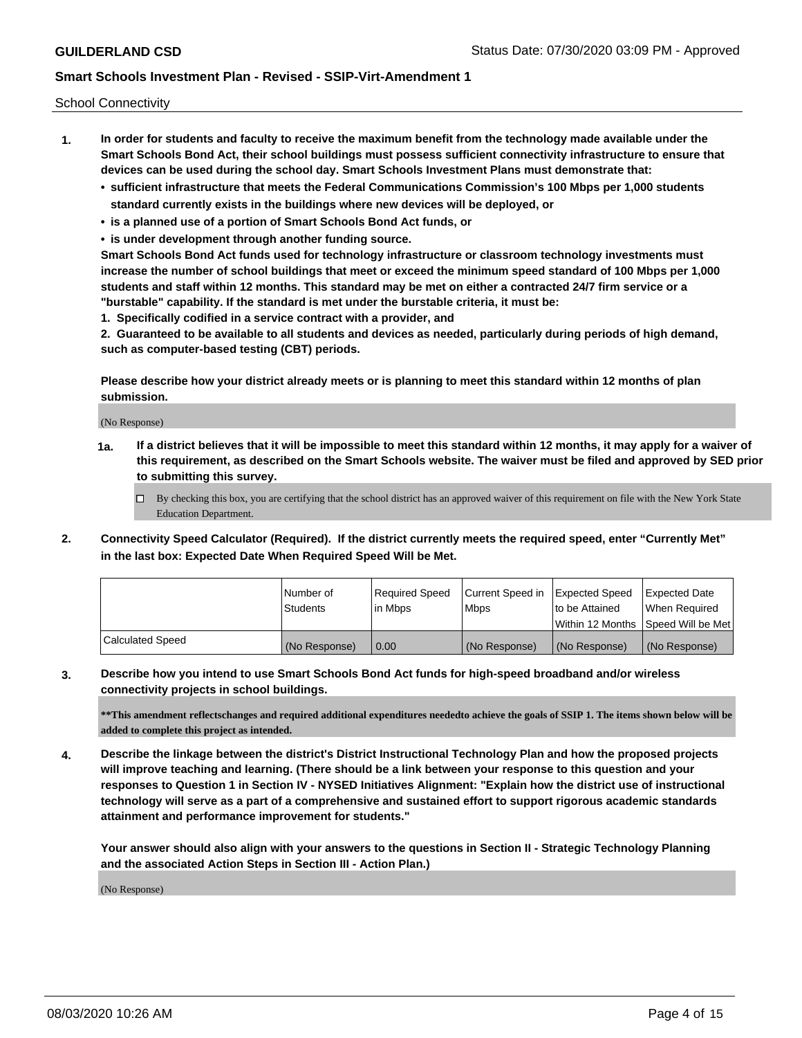School Connectivity

- **1. In order for students and faculty to receive the maximum benefit from the technology made available under the Smart Schools Bond Act, their school buildings must possess sufficient connectivity infrastructure to ensure that devices can be used during the school day. Smart Schools Investment Plans must demonstrate that:**
	- **• sufficient infrastructure that meets the Federal Communications Commission's 100 Mbps per 1,000 students standard currently exists in the buildings where new devices will be deployed, or**
	- **• is a planned use of a portion of Smart Schools Bond Act funds, or**
	- **• is under development through another funding source.**

**Smart Schools Bond Act funds used for technology infrastructure or classroom technology investments must increase the number of school buildings that meet or exceed the minimum speed standard of 100 Mbps per 1,000 students and staff within 12 months. This standard may be met on either a contracted 24/7 firm service or a "burstable" capability. If the standard is met under the burstable criteria, it must be:**

**1. Specifically codified in a service contract with a provider, and**

**2. Guaranteed to be available to all students and devices as needed, particularly during periods of high demand, such as computer-based testing (CBT) periods.**

**Please describe how your district already meets or is planning to meet this standard within 12 months of plan submission.**

(No Response)

**1a. If a district believes that it will be impossible to meet this standard within 12 months, it may apply for a waiver of this requirement, as described on the Smart Schools website. The waiver must be filed and approved by SED prior to submitting this survey.**

 $\Box$  By checking this box, you are certifying that the school district has an approved waiver of this requirement on file with the New York State Education Department.

**2. Connectivity Speed Calculator (Required). If the district currently meets the required speed, enter "Currently Met" in the last box: Expected Date When Required Speed Will be Met.**

|                  | l Number of     | Required Speed | Current Speed in | Expected Speed | Expected Date                           |
|------------------|-----------------|----------------|------------------|----------------|-----------------------------------------|
|                  | <b>Students</b> | In Mbps        | l Mbps           | to be Attained | When Required                           |
|                  |                 |                |                  |                | l Within 12 Months ISpeed Will be Met l |
| Calculated Speed | (No Response)   | 0.00           | (No Response)    | (No Response)  | (No Response)                           |

**3. Describe how you intend to use Smart Schools Bond Act funds for high-speed broadband and/or wireless connectivity projects in school buildings.**

**\*\*This amendment reflectschanges and required additional expenditures neededto achieve the goals of SSIP 1. The items shown below will be added to complete this project as intended.**

**4. Describe the linkage between the district's District Instructional Technology Plan and how the proposed projects will improve teaching and learning. (There should be a link between your response to this question and your responses to Question 1 in Section IV - NYSED Initiatives Alignment: "Explain how the district use of instructional technology will serve as a part of a comprehensive and sustained effort to support rigorous academic standards attainment and performance improvement for students."** 

**Your answer should also align with your answers to the questions in Section II - Strategic Technology Planning and the associated Action Steps in Section III - Action Plan.)**

(No Response)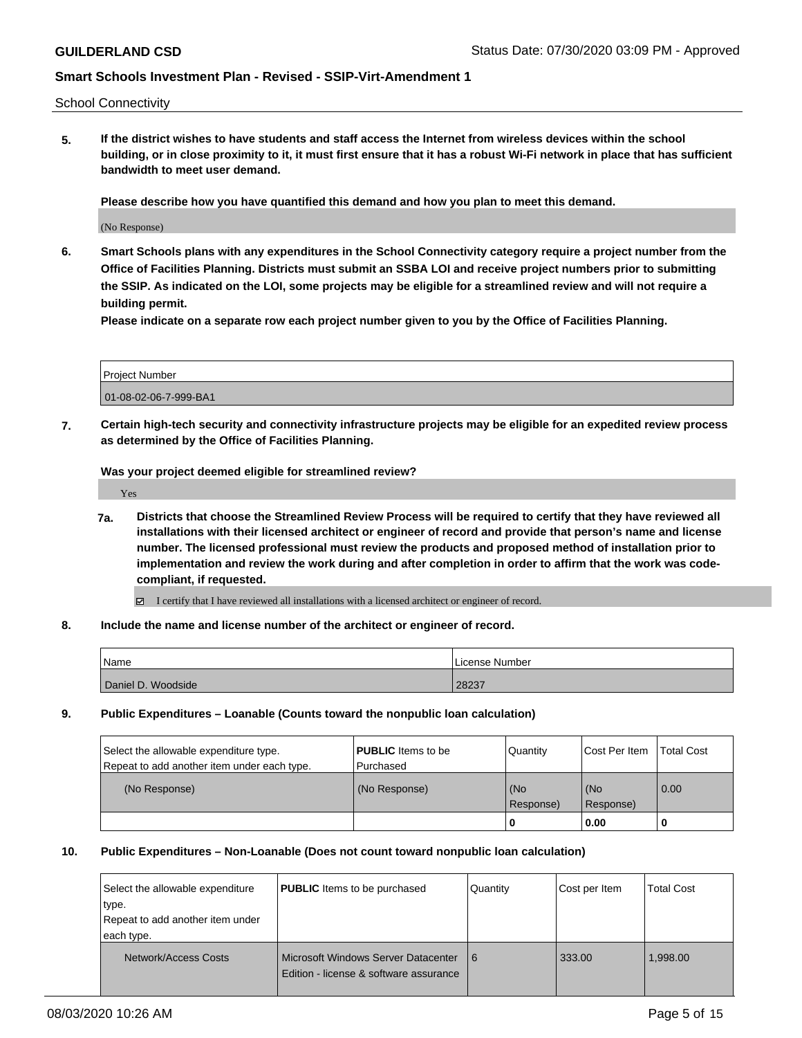School Connectivity

**5. If the district wishes to have students and staff access the Internet from wireless devices within the school building, or in close proximity to it, it must first ensure that it has a robust Wi-Fi network in place that has sufficient bandwidth to meet user demand.**

**Please describe how you have quantified this demand and how you plan to meet this demand.**

(No Response)

**6. Smart Schools plans with any expenditures in the School Connectivity category require a project number from the Office of Facilities Planning. Districts must submit an SSBA LOI and receive project numbers prior to submitting the SSIP. As indicated on the LOI, some projects may be eligible for a streamlined review and will not require a building permit.**

**Please indicate on a separate row each project number given to you by the Office of Facilities Planning.**

| Project Number        |  |
|-----------------------|--|
| 01-08-02-06-7-999-BA1 |  |

**7. Certain high-tech security and connectivity infrastructure projects may be eligible for an expedited review process as determined by the Office of Facilities Planning.**

**Was your project deemed eligible for streamlined review?**

Yes

- **7a. Districts that choose the Streamlined Review Process will be required to certify that they have reviewed all installations with their licensed architect or engineer of record and provide that person's name and license number. The licensed professional must review the products and proposed method of installation prior to implementation and review the work during and after completion in order to affirm that the work was codecompliant, if requested.**
	- I certify that I have reviewed all installations with a licensed architect or engineer of record.
- **8. Include the name and license number of the architect or engineer of record.**

| Name               | License Number |
|--------------------|----------------|
| Daniel D. Woodside | 28237          |

**9. Public Expenditures – Loanable (Counts toward the nonpublic loan calculation)**

| Select the allowable expenditure type.      | <b>PUBLIC</b> Items to be | Quantity         | Cost Per Item    | <b>Total Cost</b> |
|---------------------------------------------|---------------------------|------------------|------------------|-------------------|
| Repeat to add another item under each type. | Purchased                 |                  |                  |                   |
| (No Response)                               | (No Response)             | (No<br>Response) | (No<br>Response) | 0.00              |
|                                             |                           |                  | 0.00             |                   |

#### **10. Public Expenditures – Non-Loanable (Does not count toward nonpublic loan calculation)**

| Select the allowable expenditure<br>type.<br>Repeat to add another item under<br>each type. | <b>PUBLIC</b> Items to be purchased                                                    | Quantity | Cost per Item | <b>Total Cost</b> |
|---------------------------------------------------------------------------------------------|----------------------------------------------------------------------------------------|----------|---------------|-------------------|
| Network/Access Costs                                                                        | <b>I Microsoft Windows Server Datacenter</b><br>Edition - license & software assurance | 6        | 333.00        | 1,998.00          |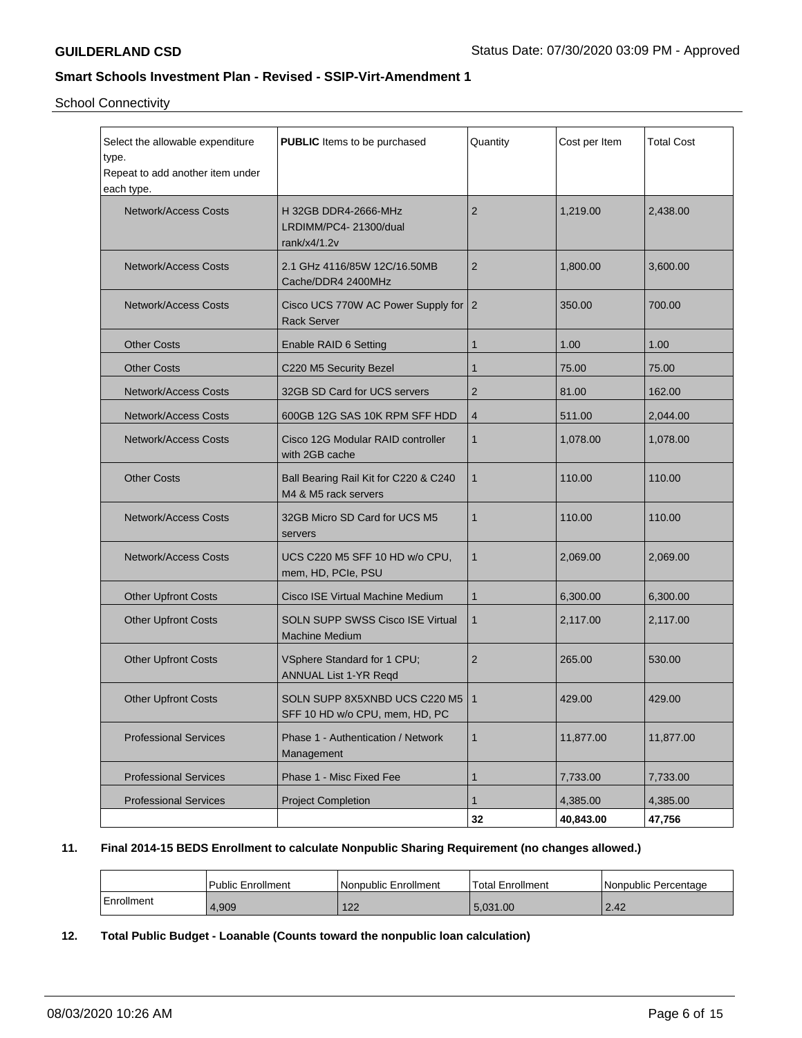School Connectivity

| Select the allowable expenditure<br>type.<br>Repeat to add another item under<br>each type. | <b>PUBLIC</b> Items to be purchased                                 | Quantity       | Cost per Item | <b>Total Cost</b> |
|---------------------------------------------------------------------------------------------|---------------------------------------------------------------------|----------------|---------------|-------------------|
| <b>Network/Access Costs</b>                                                                 | H 32GB DDR4-2666-MHz<br>LRDIMM/PC4-21300/dual<br>rank/x4/1.2v       | 2              | 1,219.00      | 2.438.00          |
| <b>Network/Access Costs</b>                                                                 | 2.1 GHz 4116/85W 12C/16.50MB<br>Cache/DDR4 2400MHz                  | $\overline{2}$ | 1,800.00      | 3,600.00          |
| <b>Network/Access Costs</b>                                                                 | Cisco UCS 770W AC Power Supply for 2<br><b>Rack Server</b>          |                | 350.00        | 700.00            |
| <b>Other Costs</b>                                                                          | Enable RAID 6 Setting                                               | $\mathbf{1}$   | 1.00          | 1.00              |
| <b>Other Costs</b>                                                                          | C220 M5 Security Bezel                                              | 1              | 75.00         | 75.00             |
| <b>Network/Access Costs</b>                                                                 | 32GB SD Card for UCS servers                                        | 2              | 81.00         | 162.00            |
| <b>Network/Access Costs</b>                                                                 | 600GB 12G SAS 10K RPM SFF HDD                                       | $\overline{4}$ | 511.00        | 2,044.00          |
| <b>Network/Access Costs</b>                                                                 | Cisco 12G Modular RAID controller<br>with 2GB cache                 | $\mathbf{1}$   | 1,078.00      | 1,078.00          |
| <b>Other Costs</b>                                                                          | Ball Bearing Rail Kit for C220 & C240<br>M4 & M5 rack servers       | $\mathbf{1}$   | 110.00        | 110.00            |
| <b>Network/Access Costs</b>                                                                 | 32GB Micro SD Card for UCS M5<br>servers                            | $\mathbf{1}$   | 110.00        | 110.00            |
| <b>Network/Access Costs</b>                                                                 | UCS C220 M5 SFF 10 HD w/o CPU,<br>mem, HD, PCIe, PSU                | $\mathbf{1}$   | 2,069.00      | 2,069.00          |
| <b>Other Upfront Costs</b>                                                                  | Cisco ISE Virtual Machine Medium                                    | $\mathbf{1}$   | 6,300.00      | 6,300.00          |
| <b>Other Upfront Costs</b>                                                                  | <b>SOLN SUPP SWSS Cisco ISE Virtual</b><br><b>Machine Medium</b>    | $\mathbf{1}$   | 2,117.00      | 2,117.00          |
| <b>Other Upfront Costs</b>                                                                  | VSphere Standard for 1 CPU;<br>ANNUAL List 1-YR Reqd                | $\overline{2}$ | 265.00        | 530.00            |
| <b>Other Upfront Costs</b>                                                                  | SOLN SUPP 8X5XNBD UCS C220 M5   1<br>SFF 10 HD w/o CPU, mem, HD, PC |                | 429.00        | 429.00            |
| <b>Professional Services</b>                                                                | Phase 1 - Authentication / Network<br>Management                    | $\mathbf{1}$   | 11,877.00     | 11,877.00         |
| <b>Professional Services</b>                                                                | Phase 1 - Misc Fixed Fee                                            | $\mathbf{1}$   | 7,733.00      | 7,733.00          |
| <b>Professional Services</b>                                                                | <b>Project Completion</b>                                           | $\mathbf{1}$   | 4,385.00      | 4,385.00          |
|                                                                                             |                                                                     | 32             | 40,843.00     | 47,756            |

### **11. Final 2014-15 BEDS Enrollment to calculate Nonpublic Sharing Requirement (no changes allowed.)**

|            | <b>Public Enrollment</b> | Nonpublic Enrollment | Total Enrollment | Nonpublic Percentage |
|------------|--------------------------|----------------------|------------------|----------------------|
| Enrollment | 4,909                    | 122<br>144           | 5.031.00         | 2.42                 |

# **12. Total Public Budget - Loanable (Counts toward the nonpublic loan calculation)**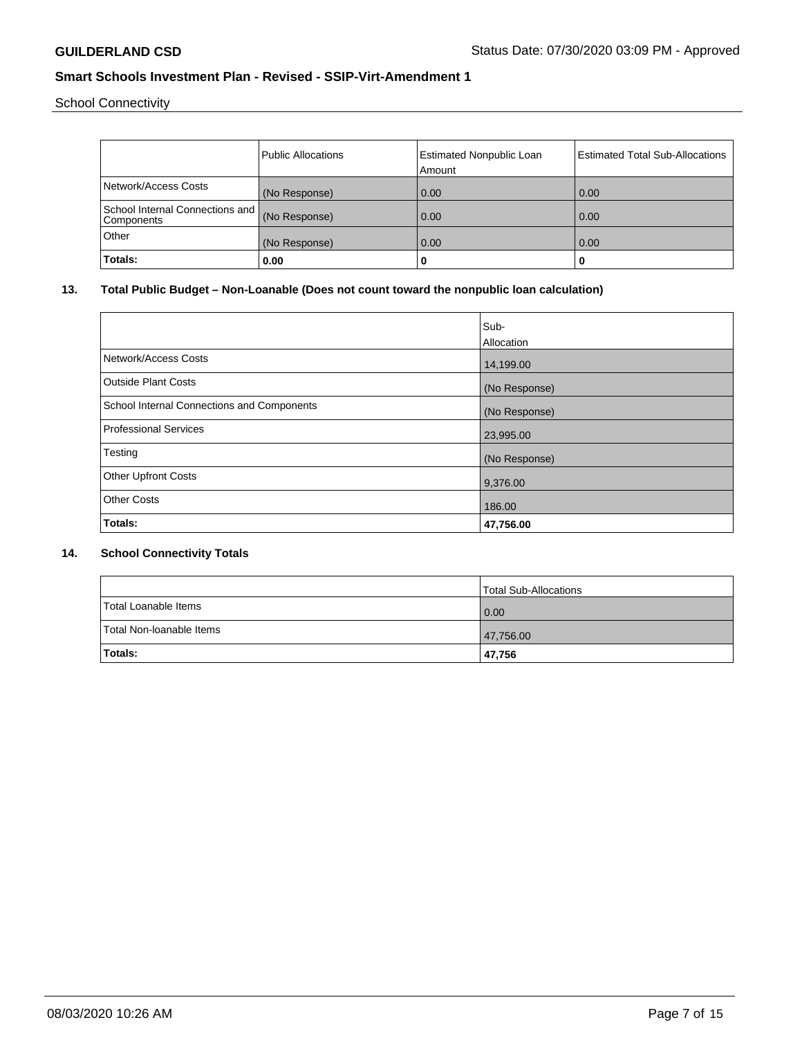School Connectivity

|                                                  | <b>Public Allocations</b> | <b>Estimated Nonpublic Loan</b> | <b>Estimated Total Sub-Allocations</b> |
|--------------------------------------------------|---------------------------|---------------------------------|----------------------------------------|
|                                                  |                           | Amount                          |                                        |
| Network/Access Costs                             | (No Response)             | 0.00                            | 0.00                                   |
| School Internal Connections and   <br>Components | (No Response)             | 0.00                            | 0.00                                   |
| Other                                            | (No Response)             | 0.00                            | 0.00                                   |
| Totals:                                          | 0.00                      | 0                               | u                                      |

# **13. Total Public Budget – Non-Loanable (Does not count toward the nonpublic loan calculation)**

|                                            | Sub-<br>Allocation |
|--------------------------------------------|--------------------|
| Network/Access Costs                       | 14,199.00          |
| <b>Outside Plant Costs</b>                 | (No Response)      |
| School Internal Connections and Components | (No Response)      |
| Professional Services                      | 23,995.00          |
| Testing                                    | (No Response)      |
| <b>Other Upfront Costs</b>                 | 9,376.00           |
| <b>Other Costs</b>                         | 186.00             |
| Totals:                                    | 47,756.00          |

### **14. School Connectivity Totals**

|                          | <b>Total Sub-Allocations</b> |
|--------------------------|------------------------------|
| Total Loanable Items     | 0.00                         |
| Total Non-Ioanable Items | 47,756.00                    |
| <b>Totals:</b>           | 47,756                       |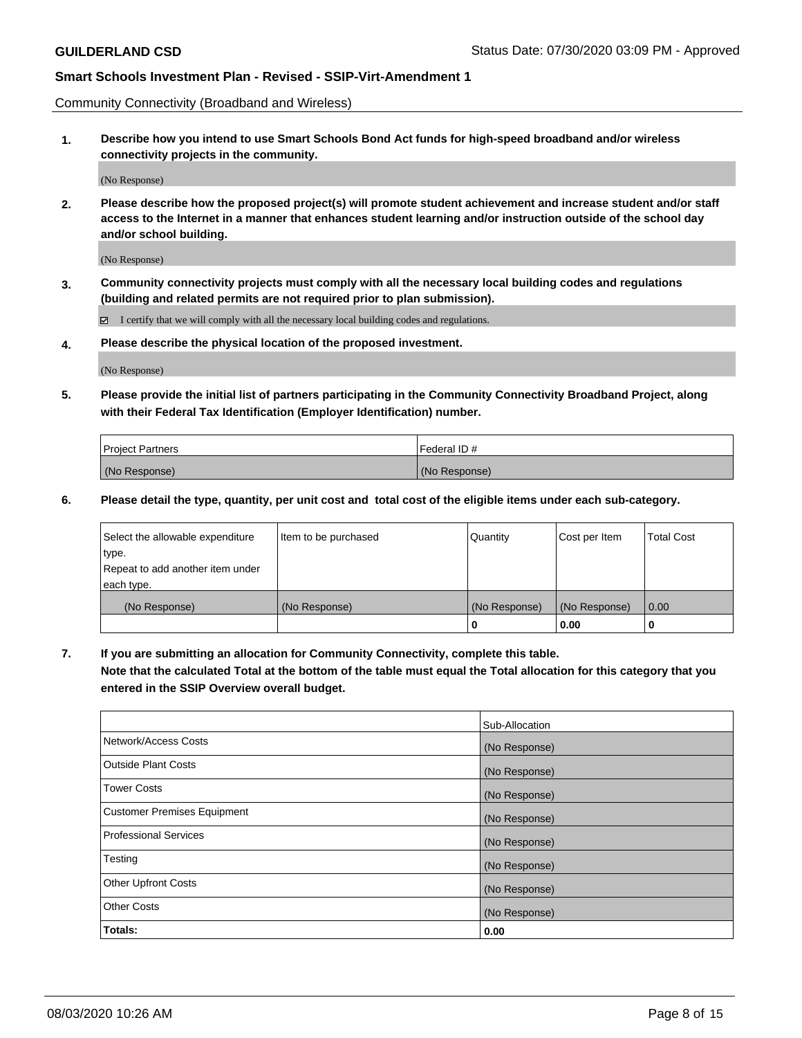Community Connectivity (Broadband and Wireless)

**1. Describe how you intend to use Smart Schools Bond Act funds for high-speed broadband and/or wireless connectivity projects in the community.**

(No Response)

**2. Please describe how the proposed project(s) will promote student achievement and increase student and/or staff access to the Internet in a manner that enhances student learning and/or instruction outside of the school day and/or school building.**

(No Response)

**3. Community connectivity projects must comply with all the necessary local building codes and regulations (building and related permits are not required prior to plan submission).**

 $\boxtimes$  I certify that we will comply with all the necessary local building codes and regulations.

**4. Please describe the physical location of the proposed investment.**

(No Response)

**5. Please provide the initial list of partners participating in the Community Connectivity Broadband Project, along with their Federal Tax Identification (Employer Identification) number.**

| <b>Project Partners</b> | l Federal ID # |
|-------------------------|----------------|
| (No Response)           | (No Response)  |

**6. Please detail the type, quantity, per unit cost and total cost of the eligible items under each sub-category.**

| Select the allowable expenditure | Item to be purchased | Quantity      | Cost per Item | <b>Total Cost</b> |
|----------------------------------|----------------------|---------------|---------------|-------------------|
| type.                            |                      |               |               |                   |
| Repeat to add another item under |                      |               |               |                   |
| each type.                       |                      |               |               |                   |
| (No Response)                    | (No Response)        | (No Response) | (No Response) | 0.00              |
|                                  |                      | U             | 0.00          |                   |

**7. If you are submitting an allocation for Community Connectivity, complete this table.**

**Note that the calculated Total at the bottom of the table must equal the Total allocation for this category that you entered in the SSIP Overview overall budget.**

|                                    | Sub-Allocation |
|------------------------------------|----------------|
| Network/Access Costs               | (No Response)  |
| Outside Plant Costs                | (No Response)  |
| <b>Tower Costs</b>                 | (No Response)  |
| <b>Customer Premises Equipment</b> | (No Response)  |
| <b>Professional Services</b>       | (No Response)  |
| Testing                            | (No Response)  |
| <b>Other Upfront Costs</b>         | (No Response)  |
| <b>Other Costs</b>                 | (No Response)  |
| Totals:                            | 0.00           |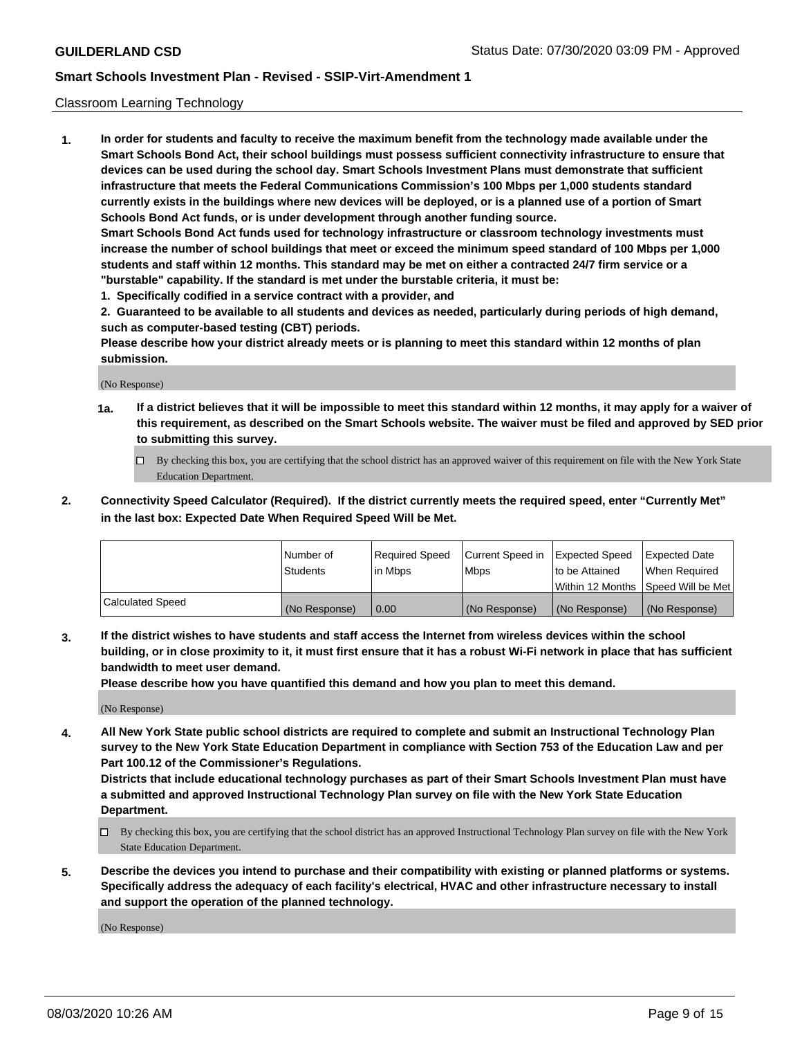### Classroom Learning Technology

**1. In order for students and faculty to receive the maximum benefit from the technology made available under the Smart Schools Bond Act, their school buildings must possess sufficient connectivity infrastructure to ensure that devices can be used during the school day. Smart Schools Investment Plans must demonstrate that sufficient infrastructure that meets the Federal Communications Commission's 100 Mbps per 1,000 students standard currently exists in the buildings where new devices will be deployed, or is a planned use of a portion of Smart Schools Bond Act funds, or is under development through another funding source. Smart Schools Bond Act funds used for technology infrastructure or classroom technology investments must increase the number of school buildings that meet or exceed the minimum speed standard of 100 Mbps per 1,000 students and staff within 12 months. This standard may be met on either a contracted 24/7 firm service or a "burstable" capability. If the standard is met under the burstable criteria, it must be:**

**1. Specifically codified in a service contract with a provider, and**

**2. Guaranteed to be available to all students and devices as needed, particularly during periods of high demand, such as computer-based testing (CBT) periods.**

**Please describe how your district already meets or is planning to meet this standard within 12 months of plan submission.**

(No Response)

- **1a. If a district believes that it will be impossible to meet this standard within 12 months, it may apply for a waiver of this requirement, as described on the Smart Schools website. The waiver must be filed and approved by SED prior to submitting this survey.**
	- By checking this box, you are certifying that the school district has an approved waiver of this requirement on file with the New York State Education Department.
- **2. Connectivity Speed Calculator (Required). If the district currently meets the required speed, enter "Currently Met" in the last box: Expected Date When Required Speed Will be Met.**

|                  | l Number of     | Required Speed | Current Speed in | <b>Expected Speed</b> | <b>Expected Date</b>                |
|------------------|-----------------|----------------|------------------|-----------------------|-------------------------------------|
|                  | <b>Students</b> | l in Mbps      | l Mbps           | to be Attained        | When Required                       |
|                  |                 |                |                  |                       | Within 12 Months  Speed Will be Met |
| Calculated Speed | (No Response)   | 0.00           | (No Response)    | l (No Response)       | (No Response)                       |

**3. If the district wishes to have students and staff access the Internet from wireless devices within the school building, or in close proximity to it, it must first ensure that it has a robust Wi-Fi network in place that has sufficient bandwidth to meet user demand.**

**Please describe how you have quantified this demand and how you plan to meet this demand.**

(No Response)

**4. All New York State public school districts are required to complete and submit an Instructional Technology Plan survey to the New York State Education Department in compliance with Section 753 of the Education Law and per Part 100.12 of the Commissioner's Regulations.**

**Districts that include educational technology purchases as part of their Smart Schools Investment Plan must have a submitted and approved Instructional Technology Plan survey on file with the New York State Education Department.**

- By checking this box, you are certifying that the school district has an approved Instructional Technology Plan survey on file with the New York State Education Department.
- **5. Describe the devices you intend to purchase and their compatibility with existing or planned platforms or systems. Specifically address the adequacy of each facility's electrical, HVAC and other infrastructure necessary to install and support the operation of the planned technology.**

(No Response)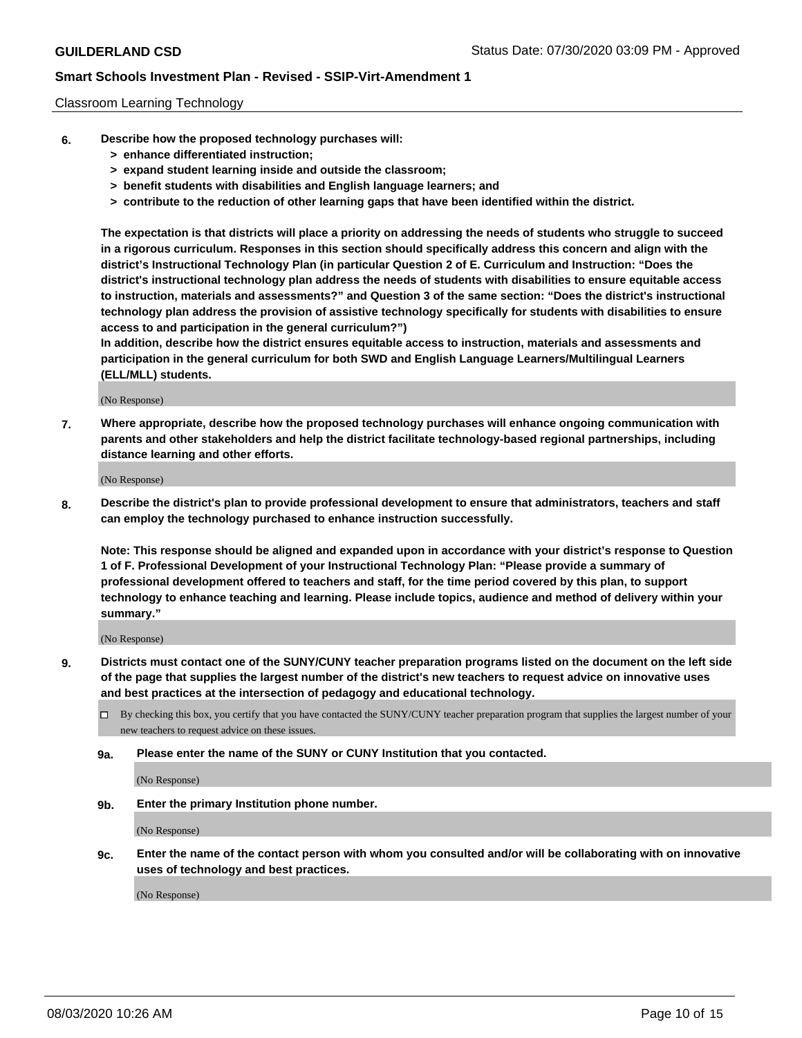### Classroom Learning Technology

- **6. Describe how the proposed technology purchases will:**
	- **> enhance differentiated instruction;**
	- **> expand student learning inside and outside the classroom;**
	- **> benefit students with disabilities and English language learners; and**
	- **> contribute to the reduction of other learning gaps that have been identified within the district.**

**The expectation is that districts will place a priority on addressing the needs of students who struggle to succeed in a rigorous curriculum. Responses in this section should specifically address this concern and align with the district's Instructional Technology Plan (in particular Question 2 of E. Curriculum and Instruction: "Does the district's instructional technology plan address the needs of students with disabilities to ensure equitable access to instruction, materials and assessments?" and Question 3 of the same section: "Does the district's instructional technology plan address the provision of assistive technology specifically for students with disabilities to ensure access to and participation in the general curriculum?")**

**In addition, describe how the district ensures equitable access to instruction, materials and assessments and participation in the general curriculum for both SWD and English Language Learners/Multilingual Learners (ELL/MLL) students.**

(No Response)

**7. Where appropriate, describe how the proposed technology purchases will enhance ongoing communication with parents and other stakeholders and help the district facilitate technology-based regional partnerships, including distance learning and other efforts.**

(No Response)

**8. Describe the district's plan to provide professional development to ensure that administrators, teachers and staff can employ the technology purchased to enhance instruction successfully.**

**Note: This response should be aligned and expanded upon in accordance with your district's response to Question 1 of F. Professional Development of your Instructional Technology Plan: "Please provide a summary of professional development offered to teachers and staff, for the time period covered by this plan, to support technology to enhance teaching and learning. Please include topics, audience and method of delivery within your summary."**

(No Response)

- **9. Districts must contact one of the SUNY/CUNY teacher preparation programs listed on the document on the left side of the page that supplies the largest number of the district's new teachers to request advice on innovative uses and best practices at the intersection of pedagogy and educational technology.**
	- By checking this box, you certify that you have contacted the SUNY/CUNY teacher preparation program that supplies the largest number of your new teachers to request advice on these issues.
	- **9a. Please enter the name of the SUNY or CUNY Institution that you contacted.**

(No Response)

**9b. Enter the primary Institution phone number.**

(No Response)

**9c. Enter the name of the contact person with whom you consulted and/or will be collaborating with on innovative uses of technology and best practices.**

(No Response)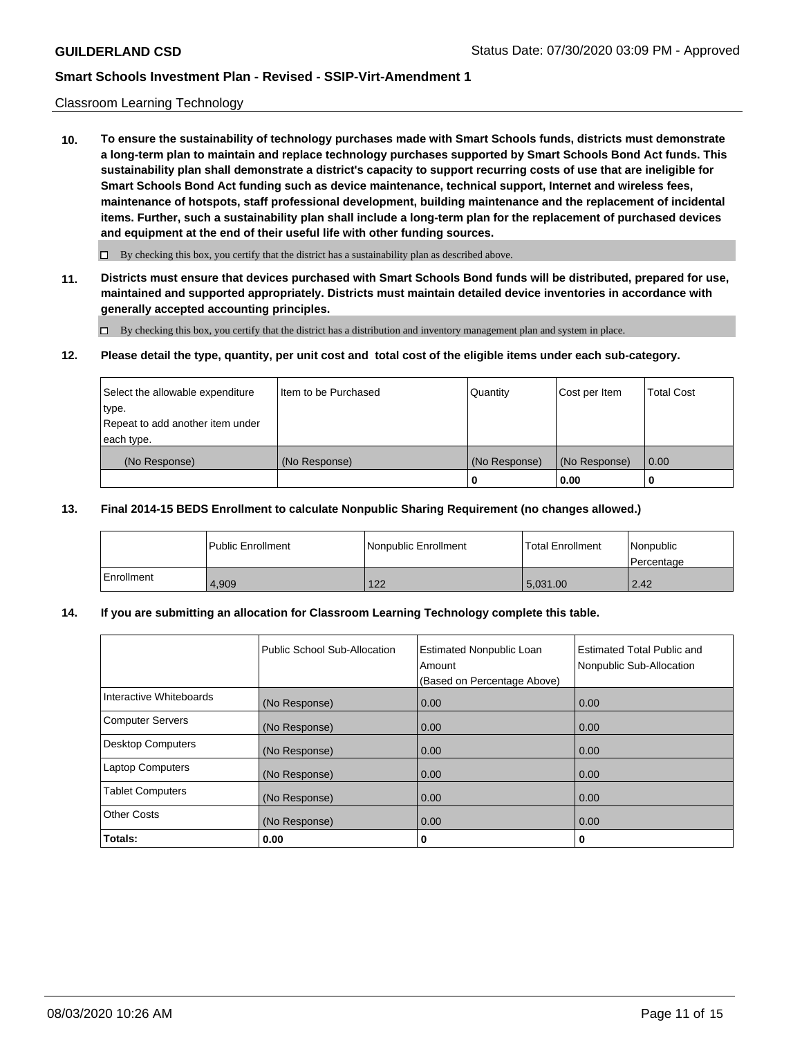### Classroom Learning Technology

**10. To ensure the sustainability of technology purchases made with Smart Schools funds, districts must demonstrate a long-term plan to maintain and replace technology purchases supported by Smart Schools Bond Act funds. This sustainability plan shall demonstrate a district's capacity to support recurring costs of use that are ineligible for Smart Schools Bond Act funding such as device maintenance, technical support, Internet and wireless fees, maintenance of hotspots, staff professional development, building maintenance and the replacement of incidental items. Further, such a sustainability plan shall include a long-term plan for the replacement of purchased devices and equipment at the end of their useful life with other funding sources.**

 $\Box$  By checking this box, you certify that the district has a sustainability plan as described above.

**11. Districts must ensure that devices purchased with Smart Schools Bond funds will be distributed, prepared for use, maintained and supported appropriately. Districts must maintain detailed device inventories in accordance with generally accepted accounting principles.**

By checking this box, you certify that the district has a distribution and inventory management plan and system in place.

#### **12. Please detail the type, quantity, per unit cost and total cost of the eligible items under each sub-category.**

| Select the allowable expenditure<br>type.<br>Repeat to add another item under | Item to be Purchased | Quantity      | Cost per Item | <b>Total Cost</b> |
|-------------------------------------------------------------------------------|----------------------|---------------|---------------|-------------------|
| each type.<br>(No Response)                                                   | (No Response)        | (No Response) | (No Response) | 0.00              |
|                                                                               |                      | 0             | 0.00          |                   |

#### **13. Final 2014-15 BEDS Enrollment to calculate Nonpublic Sharing Requirement (no changes allowed.)**

|            | l Public Enrollment | <b>INonpublic Enrollment</b> | <b>Total Enrollment</b> | Nonpublic<br>l Percentage |
|------------|---------------------|------------------------------|-------------------------|---------------------------|
| Enrollment | 4.909               | 122                          | 5.031.00                | $\vert$ 2.42              |

### **14. If you are submitting an allocation for Classroom Learning Technology complete this table.**

|                         | Public School Sub-Allocation | <b>Estimated Nonpublic Loan</b><br>Amount<br>(Based on Percentage Above) | Estimated Total Public and<br>Nonpublic Sub-Allocation |
|-------------------------|------------------------------|--------------------------------------------------------------------------|--------------------------------------------------------|
| Interactive Whiteboards | (No Response)                | 0.00                                                                     | 0.00                                                   |
| Computer Servers        | (No Response)                | 0.00                                                                     | 0.00                                                   |
| Desktop Computers       | (No Response)                | 0.00                                                                     | 0.00                                                   |
| <b>Laptop Computers</b> | (No Response)                | 0.00                                                                     | 0.00                                                   |
| <b>Tablet Computers</b> | (No Response)                | 0.00                                                                     | 0.00                                                   |
| Other Costs             | (No Response)                | 0.00                                                                     | 0.00                                                   |
| Totals:                 | 0.00                         | 0                                                                        | 0                                                      |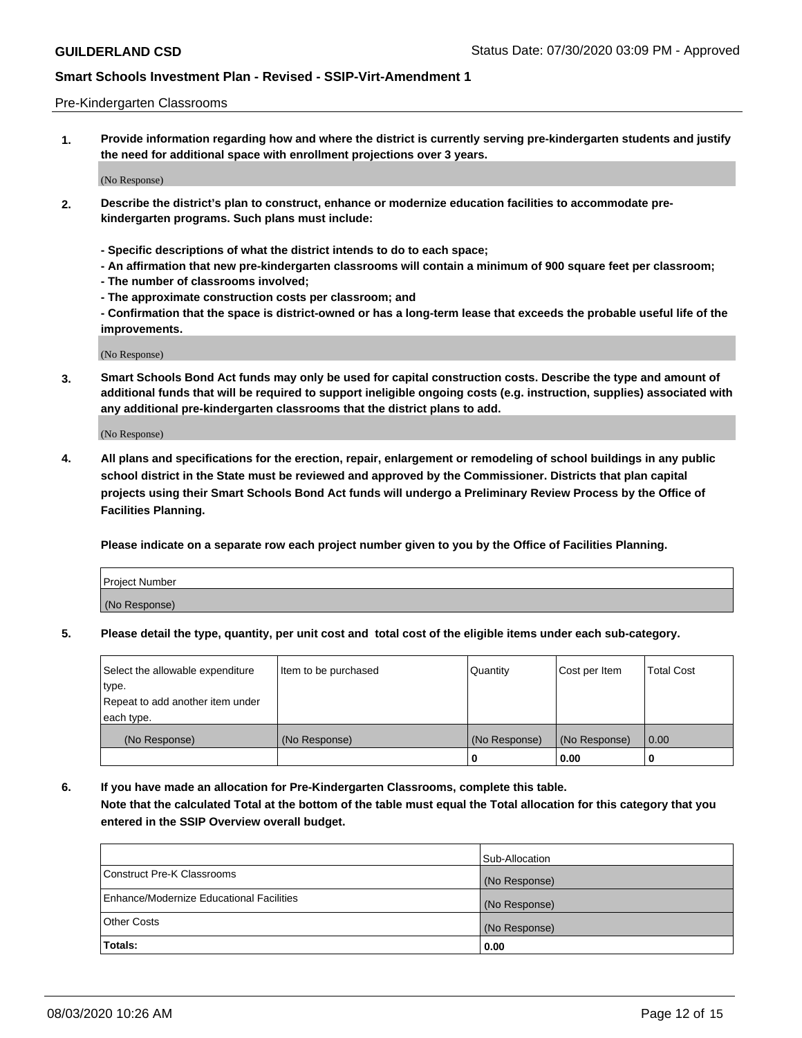### Pre-Kindergarten Classrooms

**1. Provide information regarding how and where the district is currently serving pre-kindergarten students and justify the need for additional space with enrollment projections over 3 years.**

(No Response)

- **2. Describe the district's plan to construct, enhance or modernize education facilities to accommodate prekindergarten programs. Such plans must include:**
	- **Specific descriptions of what the district intends to do to each space;**
	- **An affirmation that new pre-kindergarten classrooms will contain a minimum of 900 square feet per classroom;**
	- **The number of classrooms involved;**
	- **The approximate construction costs per classroom; and**
	- **Confirmation that the space is district-owned or has a long-term lease that exceeds the probable useful life of the improvements.**

(No Response)

**3. Smart Schools Bond Act funds may only be used for capital construction costs. Describe the type and amount of additional funds that will be required to support ineligible ongoing costs (e.g. instruction, supplies) associated with any additional pre-kindergarten classrooms that the district plans to add.**

(No Response)

**4. All plans and specifications for the erection, repair, enlargement or remodeling of school buildings in any public school district in the State must be reviewed and approved by the Commissioner. Districts that plan capital projects using their Smart Schools Bond Act funds will undergo a Preliminary Review Process by the Office of Facilities Planning.**

**Please indicate on a separate row each project number given to you by the Office of Facilities Planning.**

| Project Number |  |
|----------------|--|
| (No Response)  |  |
|                |  |

**5. Please detail the type, quantity, per unit cost and total cost of the eligible items under each sub-category.**

| Select the allowable expenditure | Item to be purchased | Quantity      | Cost per Item | <b>Total Cost</b> |
|----------------------------------|----------------------|---------------|---------------|-------------------|
| type.                            |                      |               |               |                   |
| Repeat to add another item under |                      |               |               |                   |
| each type.                       |                      |               |               |                   |
| (No Response)                    | (No Response)        | (No Response) | (No Response) | 0.00              |
|                                  |                      | υ             | 0.00          |                   |

**6. If you have made an allocation for Pre-Kindergarten Classrooms, complete this table. Note that the calculated Total at the bottom of the table must equal the Total allocation for this category that you entered in the SSIP Overview overall budget.**

|                                          | Sub-Allocation |
|------------------------------------------|----------------|
| Construct Pre-K Classrooms               | (No Response)  |
| Enhance/Modernize Educational Facilities | (No Response)  |
| <b>Other Costs</b>                       | (No Response)  |
| Totals:                                  | 0.00           |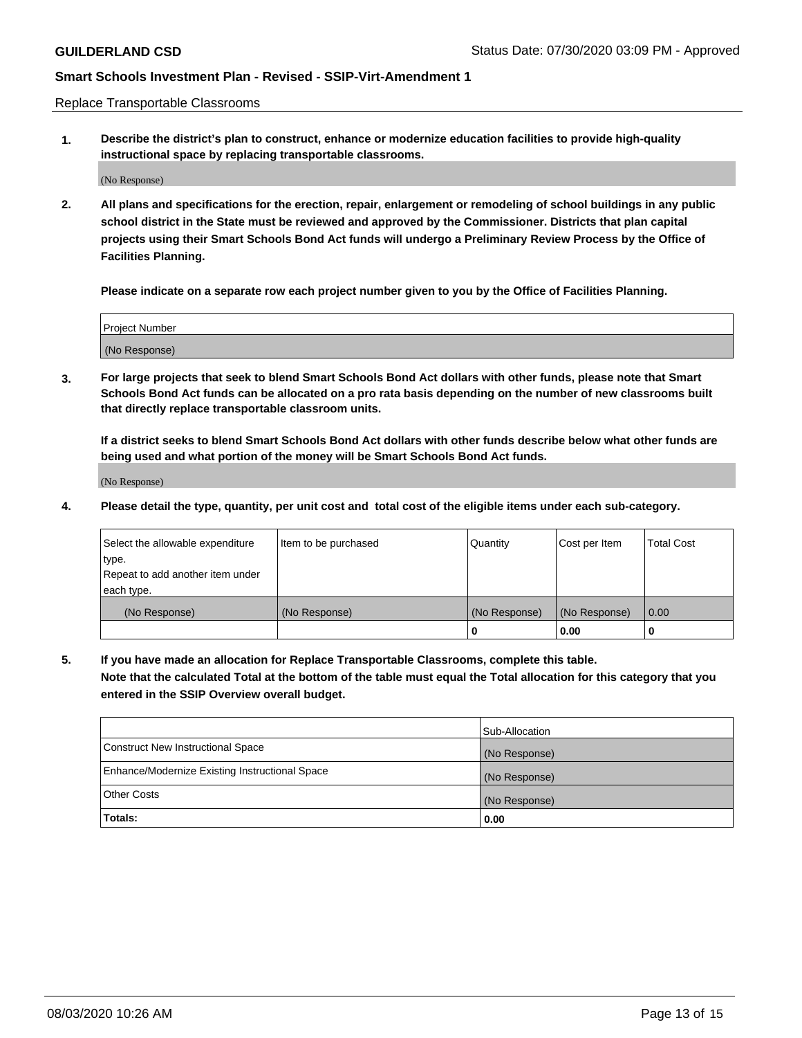Replace Transportable Classrooms

**1. Describe the district's plan to construct, enhance or modernize education facilities to provide high-quality instructional space by replacing transportable classrooms.**

(No Response)

**2. All plans and specifications for the erection, repair, enlargement or remodeling of school buildings in any public school district in the State must be reviewed and approved by the Commissioner. Districts that plan capital projects using their Smart Schools Bond Act funds will undergo a Preliminary Review Process by the Office of Facilities Planning.**

**Please indicate on a separate row each project number given to you by the Office of Facilities Planning.**

| Project Number |  |
|----------------|--|
|                |  |
|                |  |
|                |  |
| (No Response)  |  |
|                |  |
|                |  |

**3. For large projects that seek to blend Smart Schools Bond Act dollars with other funds, please note that Smart Schools Bond Act funds can be allocated on a pro rata basis depending on the number of new classrooms built that directly replace transportable classroom units.**

**If a district seeks to blend Smart Schools Bond Act dollars with other funds describe below what other funds are being used and what portion of the money will be Smart Schools Bond Act funds.**

(No Response)

**4. Please detail the type, quantity, per unit cost and total cost of the eligible items under each sub-category.**

| Select the allowable expenditure | Item to be purchased | Quantity      | Cost per Item | Total Cost |
|----------------------------------|----------------------|---------------|---------------|------------|
| ∣type.                           |                      |               |               |            |
| Repeat to add another item under |                      |               |               |            |
| each type.                       |                      |               |               |            |
| (No Response)                    | (No Response)        | (No Response) | (No Response) | 0.00       |
|                                  |                      | u             | 0.00          |            |

**5. If you have made an allocation for Replace Transportable Classrooms, complete this table. Note that the calculated Total at the bottom of the table must equal the Total allocation for this category that you entered in the SSIP Overview overall budget.**

|                                                | Sub-Allocation |
|------------------------------------------------|----------------|
| Construct New Instructional Space              | (No Response)  |
| Enhance/Modernize Existing Instructional Space | (No Response)  |
| Other Costs                                    | (No Response)  |
| Totals:                                        | 0.00           |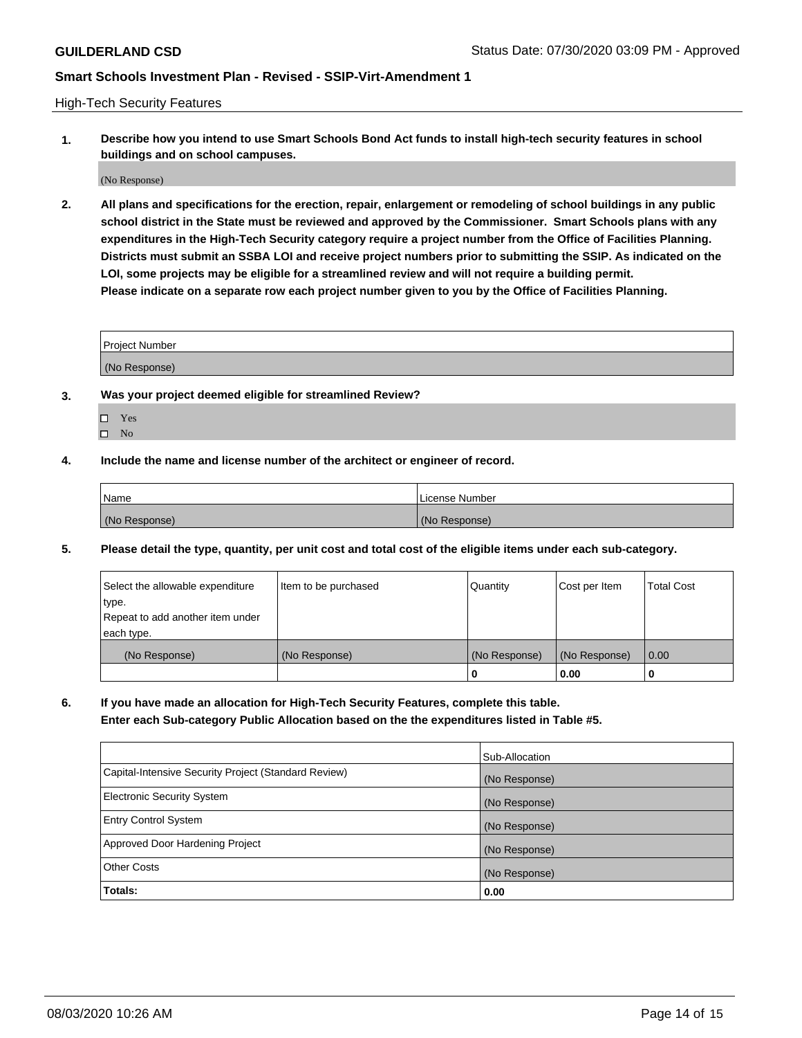High-Tech Security Features

**1. Describe how you intend to use Smart Schools Bond Act funds to install high-tech security features in school buildings and on school campuses.**

(No Response)

**2. All plans and specifications for the erection, repair, enlargement or remodeling of school buildings in any public school district in the State must be reviewed and approved by the Commissioner. Smart Schools plans with any expenditures in the High-Tech Security category require a project number from the Office of Facilities Planning. Districts must submit an SSBA LOI and receive project numbers prior to submitting the SSIP. As indicated on the LOI, some projects may be eligible for a streamlined review and will not require a building permit. Please indicate on a separate row each project number given to you by the Office of Facilities Planning.**

| <b>Project Number</b> |  |
|-----------------------|--|
| (No Response)         |  |

- **3. Was your project deemed eligible for streamlined Review?**
	- Yes
	- $\hfill \square$  No
- **4. Include the name and license number of the architect or engineer of record.**

| <b>Name</b>   | License Number |
|---------------|----------------|
| (No Response) | (No Response)  |

**5. Please detail the type, quantity, per unit cost and total cost of the eligible items under each sub-category.**

| Select the allowable expenditure | Item to be purchased | Quantity      | Cost per Item | <b>Total Cost</b> |
|----------------------------------|----------------------|---------------|---------------|-------------------|
| type.                            |                      |               |               |                   |
| Repeat to add another item under |                      |               |               |                   |
| each type.                       |                      |               |               |                   |
| (No Response)                    | (No Response)        | (No Response) | (No Response) | 0.00              |
|                                  |                      | 0             | 0.00          |                   |

**6. If you have made an allocation for High-Tech Security Features, complete this table.**

**Enter each Sub-category Public Allocation based on the the expenditures listed in Table #5.**

|                                                      | Sub-Allocation |
|------------------------------------------------------|----------------|
| Capital-Intensive Security Project (Standard Review) | (No Response)  |
| <b>Electronic Security System</b>                    | (No Response)  |
| <b>Entry Control System</b>                          | (No Response)  |
| Approved Door Hardening Project                      | (No Response)  |
| <b>Other Costs</b>                                   | (No Response)  |
| Totals:                                              | 0.00           |